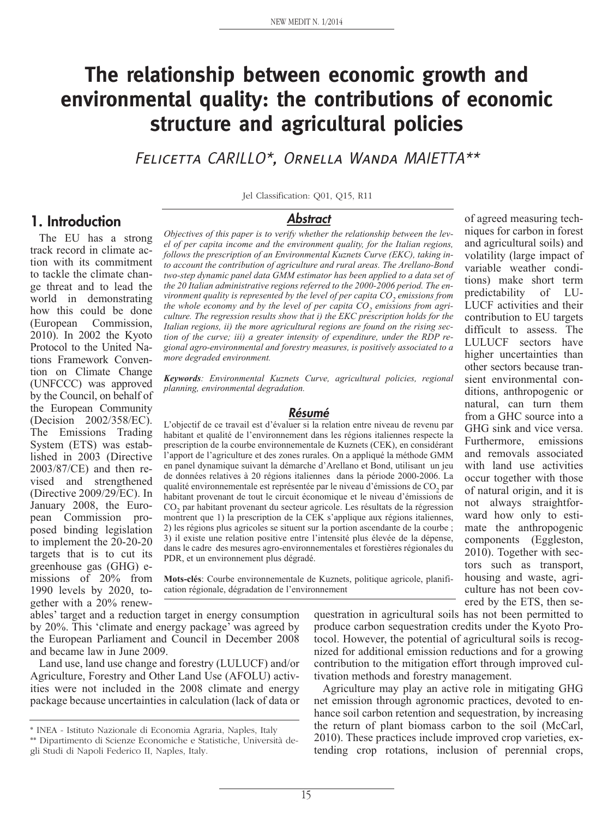# **The relationship between economic growth and environmental quality: the contributions of economic structure and agricultural policies**

Felicetta CARILLO\*, Ornella Wanda MAIETTA\*\*

Jel Classification: Q01, Q15, R11

#### **Abstract**

*Objectives of this paper is to verify whether the relationship between the level of per capita income and the environment quality, for the Italian regions, follows the prescription of an Environmental Kuznets Curve (EKC), taking into account the contribution of agriculture and rural areas. The Arellano-Bond two-step dynamic panel data GMM estimator has been applied to a data set of the 20 Italian administrative regions referred to the 2000-2006 period. The environment quality is represented by the level of per capita CO<sub>2</sub> emissions from* the whole economy and by the level of per capita CO<sub>2</sub> emissions from agri*culture. The regression results show that i) the EKC prescription holds for the Italian regions, ii) the more agricultural regions are found on the rising section of the curve; iii) a greater intensity of expenditure, under the RDP regional agro-environmental and forestry measures, is positively associated to a more degraded environment.*

*Keywords: Environmental Kuznets Curve, agricultural policies, regional planning, environmental degradation.*

#### **Résumé**

L'objectif de ce travail est d'évaluer si la relation entre niveau de revenu par habitant et qualité de l'environnement dans les régions italiennes respecte la prescription de la courbe environnementale de Kuznets (CEK), en considérant l'apport de l'agriculture et des zones rurales. On a appliqué la méthode GMM en panel dynamique suivant la démarche d'Arellano et Bond, utilisant un jeu de données relatives à 20 régions italiennes dans la période 2000-2006. La qualité environnementale est représentée par le niveau d'émissions de CO<sub>2</sub> par habitant provenant de tout le circuit économique et le niveau d'émissions de CO<sub>2</sub> par habitant provenant du secteur agricole. Les résultats de la régression montrent que 1) la prescription de la CEK s'applique aux régions italiennes, 2) les régions plus agricoles se situent sur la portion ascendante de la courbe ; 3) il existe une relation positive entre l'intensité plus élevée de la dépense, dans le cadre des mesures agro-environnementales et forestières régionales du PDR, et un environnement plus dégradé.

**Mots-clés**: Courbe environnementale de Kuznets, politique agricole, planification régionale, dégradation de l'environnement

ables' target and a reduction target in energy consumption by 20%. This 'climate and energy package' was agreed by the European Parliament and Council in December 2008 and became law in June 2009.

Land use, land use change and forestry (LULUCF) and/or Agriculture, Forestry and Other Land Use (AFOLU) activities were not included in the 2008 climate and energy package because uncertainties in calculation (lack of data or

questration in agricultural soils has not been permitted to produce carbon sequestration credits under the Kyoto Protocol. However, the potential of agricultural soils is recognized for additional emission reductions and for a growing contribution to the mitigation effort through improved cultivation methods and forestry management.

of agreed measuring techniques for carbon in forest and agricultural soils) and volatility (large impact of variable weather conditions) make short term predictability of LU-LUCF activities and their contribution to EU targets difficult to assess. The LULUCF sectors have higher uncertainties than other sectors because transient environmental conditions, anthropogenic or natural, can turn them from a GHC source into a GHG sink and vice versa. Furthermore, emissions and removals associated with land use activities occur together with those of natural origin, and it is not always straightforward how only to estimate the anthropogenic components (Eggleston, 2010). Together with sectors such as transport, housing and waste, agriculture has not been covered by the ETS, then se-

Agriculture may play an active role in mitigating GHG net emission through agronomic practices, devoted to enhance soil carbon retention and sequestration, by increasing the return of plant biomass carbon to the soil (McCarl, 2010). These practices include improved crop varieties, extending crop rotations, inclusion of perennial crops,

# **1. Introduction**

The EU has a strong track record in climate action with its commitment to tackle the climate change threat and to lead the world in demonstrating how this could be done (European Commission, 2010). In 2002 the Kyoto Protocol to the United Nations Framework Convention on Climate Change (UNFCCC) was approved by the Council, on behalf of the European Community (Decision 2002/358/EC). The Emissions Trading System (ETS) was established in 2003 (Directive 2003/87/CE) and then revised and strengthened (Directive 2009/29/EC). In January 2008, the European Commission proposed binding legislation to implement the 20-20-20 targets that is to cut its greenhouse gas (GHG) emissions of 20% from 1990 levels by 2020, together with a 20% renew-

<sup>\*</sup> INEA - Istituto Nazionale di Economia Agraria, Naples, Italy

<sup>\*\*</sup> Dipartimento di Scienze Economiche e Statistiche, Università degli Studi di Napoli Federico II, Naples, Italy.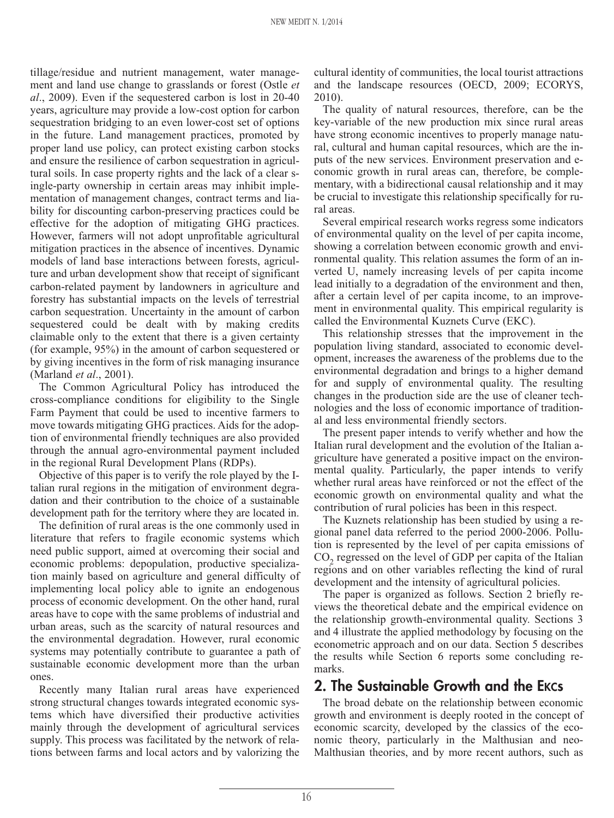tillage/residue and nutrient management, water management and land use change to grasslands or forest (Ostle *et al*., 2009). Even if the sequestered carbon is lost in 20-40 years, agriculture may provide a low-cost option for carbon sequestration bridging to an even lower-cost set of options in the future. Land management practices, promoted by proper land use policy, can protect existing carbon stocks and ensure the resilience of carbon sequestration in agricultural soils. In case property rights and the lack of a clear single-party ownership in certain areas may inhibit implementation of management changes, contract terms and liability for discounting carbon-preserving practices could be effective for the adoption of mitigating GHG practices. However, farmers will not adopt unprofitable agricultural mitigation practices in the absence of incentives. Dynamic models of land base interactions between forests, agriculture and urban development show that receipt of significant carbon-related payment by landowners in agriculture and forestry has substantial impacts on the levels of terrestrial carbon sequestration. Uncertainty in the amount of carbon sequestered could be dealt with by making credits claimable only to the extent that there is a given certainty (for example, 95%) in the amount of carbon sequestered or by giving incentives in the form of risk managing insurance (Marland *et al*., 2001).

The Common Agricultural Policy has introduced the cross-compliance conditions for eligibility to the Single Farm Payment that could be used to incentive farmers to move towards mitigating GHG practices. Aids for the adoption of environmental friendly techniques are also provided through the annual agro-environmental payment included in the regional Rural Development Plans (RDPs).

Objective of this paper is to verify the role played by the Italian rural regions in the mitigation of environment degradation and their contribution to the choice of a sustainable development path for the territory where they are located in.

The definition of rural areas is the one commonly used in literature that refers to fragile economic systems which need public support, aimed at overcoming their social and economic problems: depopulation, productive specialization mainly based on agriculture and general difficulty of implementing local policy able to ignite an endogenous process of economic development. On the other hand, rural areas have to cope with the same problems of industrial and urban areas, such as the scarcity of natural resources and the environmental degradation. However, rural economic systems may potentially contribute to guarantee a path of sustainable economic development more than the urban ones.

Recently many Italian rural areas have experienced strong structural changes towards integrated economic systems which have diversified their productive activities mainly through the development of agricultural services supply. This process was facilitated by the network of relations between farms and local actors and by valorizing the

cultural identity of communities, the local tourist attractions and the landscape resources (OECD, 2009; ECORYS, 2010).

The quality of natural resources, therefore, can be the key-variable of the new production mix since rural areas have strong economic incentives to properly manage natural, cultural and human capital resources, which are the inputs of the new services. Environment preservation and economic growth in rural areas can, therefore, be complementary, with a bidirectional causal relationship and it may be crucial to investigate this relationship specifically for rural areas.

Several empirical research works regress some indicators of environmental quality on the level of per capita income, showing a correlation between economic growth and environmental quality. This relation assumes the form of an inverted U, namely increasing levels of per capita income lead initially to a degradation of the environment and then, after a certain level of per capita income, to an improvement in environmental quality. This empirical regularity is called the Environmental Kuznets Curve (EKC).

This relationship stresses that the improvement in the population living standard, associated to economic development, increases the awareness of the problems due to the environmental degradation and brings to a higher demand for and supply of environmental quality. The resulting changes in the production side are the use of cleaner technologies and the loss of economic importance of traditional and less environmental friendly sectors.

The present paper intends to verify whether and how the Italian rural development and the evolution of the Italian agriculture have generated a positive impact on the environmental quality. Particularly, the paper intends to verify whether rural areas have reinforced or not the effect of the economic growth on environmental quality and what the contribution of rural policies has been in this respect.

The Kuznets relationship has been studied by using a regional panel data referred to the period 2000-2006. Pollution is represented by the level of per capita emissions of CO<sub>2</sub> regressed on the level of GDP per capita of the Italian regions and on other variables reflecting the kind of rural development and the intensity of agricultural policies.

The paper is organized as follows. Section 2 briefly reviews the theoretical debate and the empirical evidence on the relationship growth-environmental quality. Sections 3 and 4 illustrate the applied methodology by focusing on the econometric approach and on our data. Section 5 describes the results while Section 6 reports some concluding remarks.

### **2. The Sustainable Growth and the EKCs**

The broad debate on the relationship between economic growth and environment is deeply rooted in the concept of economic scarcity, developed by the classics of the economic theory, particularly in the Malthusian and neo-Malthusian theories, and by more recent authors, such as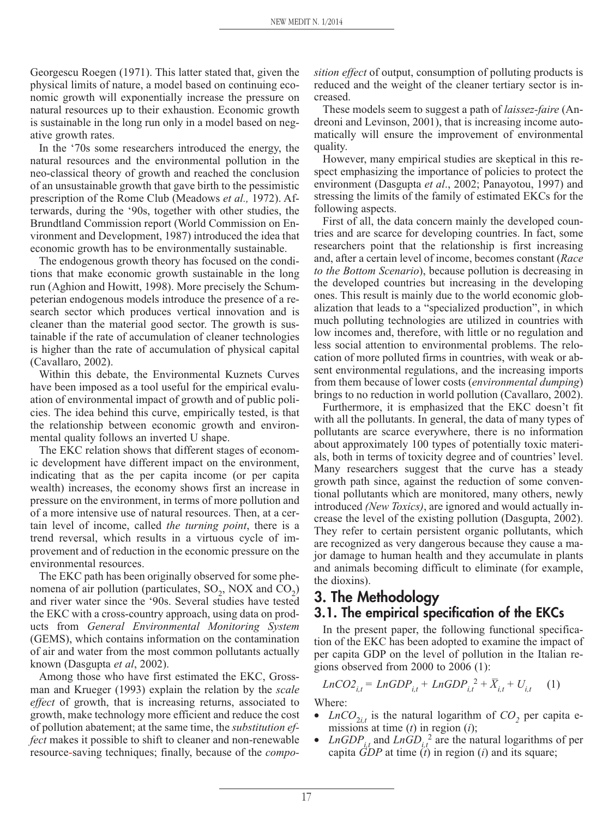Georgescu Roegen (1971). This latter stated that, given the physical limits of nature, a model based on continuing economic growth will exponentially increase the pressure on natural resources up to their exhaustion. Economic growth is sustainable in the long run only in a model based on negative growth rates.

In the '70s some researchers introduced the energy, the natural resources and the environmental pollution in the neo-classical theory of growth and reached the conclusion of an unsustainable growth that gave birth to the pessimistic prescription of the Rome Club (Meadows *et al.,* 1972). Afterwards, during the '90s, together with other studies, the Brundtland Commission report (World Commission on Environment and Development, 1987) introduced the idea that economic growth has to be environmentally sustainable.

The endogenous growth theory has focused on the conditions that make economic growth sustainable in the long run (Aghion and Howitt, 1998). More precisely the Schumpeterian endogenous models introduce the presence of a research sector which produces vertical innovation and is cleaner than the material good sector. The growth is sustainable if the rate of accumulation of cleaner technologies is higher than the rate of accumulation of physical capital (Cavallaro, 2002).

Within this debate, the Environmental Kuznets Curves have been imposed as a tool useful for the empirical evaluation of environmental impact of growth and of public policies. The idea behind this curve, empirically tested, is that the relationship between economic growth and environmental quality follows an inverted U shape.

The EKC relation shows that different stages of economic development have different impact on the environment, indicating that as the per capita income (or per capita wealth) increases, the economy shows first an increase in pressure on the environment, in terms of more pollution and of a more intensive use of natural resources. Then, at a certain level of income, called *the turning point*, there is a trend reversal, which results in a virtuous cycle of improvement and of reduction in the economic pressure on the environmental resources.

The EKC path has been originally observed for some phenomena of air pollution (particulates,  $SO_2$ , NOX and  $CO_2$ ) and river water since the '90s. Several studies have tested the EKC with a cross-country approach, using data on products from *General Environmental Monitoring System* (GEMS), which contains information on the contamination of air and water from the most common pollutants actually known (Dasgupta *et al*, 2002).

Among those who have first estimated the EKC, Grossman and Krueger (1993) explain the relation by the *scale effect* of growth, that is increasing returns, associated to growth, make technology more efficient and reduce the cost of pollution abatement; at the same time, the *substitution effect* makes it possible to shift to cleaner and non-renewable resource-saving techniques; finally, because of the *compo-* *sition effect* of output, consumption of polluting products is reduced and the weight of the cleaner tertiary sector is increased.

These models seem to suggest a path of *laissez-faire* (Andreoni and Levinson, 2001), that is increasing income automatically will ensure the improvement of environmental quality.

However, many empirical studies are skeptical in this respect emphasizing the importance of policies to protect the environment (Dasgupta *et al*., 2002; Panayotou, 1997) and stressing the limits of the family of estimated EKCs for the following aspects.

First of all, the data concern mainly the developed countries and are scarce for developing countries. In fact, some researchers point that the relationship is first increasing and, after a certain level of income, becomes constant (*Race to the Bottom Scenario*), because pollution is decreasing in the developed countries but increasing in the developing ones. This result is mainly due to the world economic globalization that leads to a "specialized production", in which much polluting technologies are utilized in countries with low incomes and, therefore, with little or no regulation and less social attention to environmental problems. The relocation of more polluted firms in countries, with weak or absent environmental regulations, and the increasing imports from them because of lower costs (*environmental dumping*) brings to no reduction in world pollution (Cavallaro, 2002).

Furthermore, it is emphasized that the EKC doesn't fit with all the pollutants. In general, the data of many types of pollutants are scarce everywhere, there is no information about approximately 100 types of potentially toxic materials, both in terms of toxicity degree and of countries' level. Many researchers suggest that the curve has a steady growth path since, against the reduction of some conventional pollutants which are monitored, many others, newly introduced *(New Toxics)*, are ignored and would actually increase the level of the existing pollution (Dasgupta, 2002). They refer to certain persistent organic pollutants, which are recognized as very dangerous because they cause a major damage to human health and they accumulate in plants and animals becoming difficult to eliminate (for example, the dioxins).

# **3. The Methodology 3.1. The empirical specification of the EKCs**

In the present paper, the following functional specification of the EKC has been adopted to examine the impact of per capita GDP on the level of pollution in the Italian regions observed from 2000 to 2006 (1):

$$
LnCO2_{i,t} = LnGDP_{i,t} + LnGDP_{i,t}^{2} + \bar{X}_{i,t} + U_{i,t} \tag{1}
$$

Where:

- *LnCO*<sub>2*i,t*</sub> is the natural logarithm of  $CO_2$  per capita emissions at time (*t*) in region (*i*);
- *LnGDP*<sub>it</sub> and *LnGD*<sub>it</sub><sup>2</sup> are the natural logarithms of per capita *GDP* at time (*t*) in region (*i*) and its square;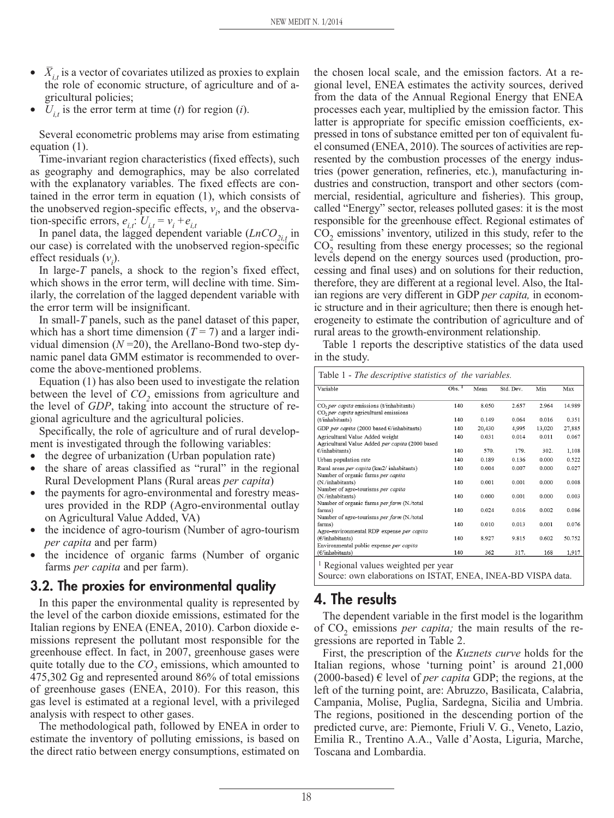- $\bar{X}_{i,t}$  is a vector of covariates utilized as proxies to explain the role of economic structure, of agriculture and of agricultural policies;
- $U_{i,t}$  is the error term at time (*t*) for region (*i*).

Several econometric problems may arise from estimating equation (1).

Time-invariant region characteristics (fixed effects), such as geography and demographics, may be also correlated with the explanatory variables. The fixed effects are contained in the error term in equation (1), which consists of the unobserved region-specific effects,  $v_i$ , and the observation-specific errors,  $e_{i,t}$ :  $U_{i,t} = v_i + e_{i,t}$ 

In panel data, the lagged dependent variable  $(LnCO<sub>2i,t</sub>$  in our case) is correlated with the unobserved region-specific effect residuals  $(v_i)$ .

In large-*T* panels, a shock to the region's fixed effect, which shows in the error term, will decline with time. Similarly, the correlation of the lagged dependent variable with the error term will be insignificant.

In small-*T* panels, such as the panel dataset of this paper, which has a short time dimension  $(T = 7)$  and a larger individual dimension  $(N=20)$ , the Arellano-Bond two-step dynamic panel data GMM estimator is recommended to overcome the above-mentioned problems.

Equation (1) has also been used to investigate the relation between the level of  $CO<sub>2</sub>$  emissions from agriculture and the level of *GDP*, taking into account the structure of regional agriculture and the agricultural policies.

Specifically, the role of agriculture and of rural development is investigated through the following variables:

- the degree of urbanization (Urban population rate)
- the share of areas classified as "rural" in the regional Rural Development Plans (Rural areas *per capita*)
- the payments for agro-environmental and forestry measures provided in the RDP (Agro-environmental outlay on Agricultural Value Added, VA)
- the incidence of agro-tourism (Number of agro-tourism *per capita* and per farm)
- the incidence of organic farms (Number of organic farms *per capita* and per farm).

#### **3.2. The proxies for environmental quality**

In this paper the environmental quality is represented by the level of the carbon dioxide emissions, estimated for the Italian regions by ENEA (ENEA, 2010). Carbon dioxide emissions represent the pollutant most responsible for the greenhouse effect. In fact, in 2007, greenhouse gases were quite totally due to the  $CO<sub>2</sub>$  emissions, which amounted to 475,302 Gg and represented around 86% of total emissions of greenhouse gases (ENEA, 2010). For this reason, this gas level is estimated at a regional level, with a privileged analysis with respect to other gases.

The methodological path, followed by ENEA in order to estimate the inventory of polluting emissions, is based on the direct ratio between energy consumptions, estimated on

the chosen local scale, and the emission factors. At a regional level, ENEA estimates the activity sources, derived from the data of the Annual Regional Energy that ENEA processes each year, multiplied by the emission factor. This latter is appropriate for specific emission coefficients, expressed in tons of substance emitted per ton of equivalent fuel consumed (ENEA, 2010). The sources of activities are represented by the combustion processes of the energy industries (power generation, refineries, etc.), manufacturing industries and construction, transport and other sectors (commercial, residential, agriculture and fisheries). This group, called "Energy" sector, releases polluted gases: it is the most responsible for the greenhouse effect. Regional estimates of CO<sub>2</sub> emissions' inventory, utilized in this study, refer to the  $CO<sub>2</sub>$  resulting from these energy processes; so the regional levels depend on the energy sources used (production, processing and final uses) and on solutions for their reduction, therefore, they are different at a regional level. Also, the Italian regions are very different in GDP *per capita,* in economic structure and in their agriculture; then there is enough heterogeneity to estimate the contribution of agriculture and of rural areas to the growth-environment relationship.

Table 1 reports the descriptive statistics of the data used in the study.

| Variable                                                                                        | $Obs.$ <sup>1</sup> | Mean   | Std. Dev. | Min    | Max    |
|-------------------------------------------------------------------------------------------------|---------------------|--------|-----------|--------|--------|
| CO <sub>2</sub> per capita emissions (t/inhabitants)<br>$CO2$ per capita agricultural emissions | 140                 | 8.050  | 2.657     | 2.964  | 14.989 |
| (t/inhabitants)                                                                                 | 140                 | 0.149  | 0.064     | 0.016  | 0.351  |
| GDP per capita (2000 based $E$ /inhabitants)                                                    | 140                 | 20,430 | 4,995     | 13,020 | 27,885 |
| Agricultural Value Added weight<br>Agricultural Value Added per capita (2000 based              | 140                 | 0.031  | 0.014     | 0.011  | 0.067  |
| $\epsilon$ /inhabitants)                                                                        | 140                 | 570.   | 179.      | 302.   | 1.108  |
| Urban population rate                                                                           | 140                 | 0.189  | 0.136     | 0.000  | 0.522  |
| Rural areas per capita (km2/inhabitants)<br>Number of organic farms per capita                  | 140                 | 0.004  | 0.007     | 0.000  | 0.027  |
| (N./inhabitants)<br>Number of agro-tourisms per capita                                          | 140                 | 0.001  | 0.001     | 0.000  | 0.008  |
| (N./inhabitants)<br>Number of organic farms per farm (N./total                                  | 140                 | 0.000  | 0.001     | 0.000  | 0.003  |
| farms)<br>Number of agro-tourisms per farm (N./total                                            | 140                 | 0.024  | 0.016     | 0.002  | 0.086  |
| farms)<br>Agro-environmental RDP expense per capita                                             | 140                 | 0.010  | 0.013     | 0.001  | 0.076  |
| (E/inhabitants)<br>Environmental public expense per capita                                      | 140                 | 8.927  | 9.815     | 0.602  | 50.752 |
| (€/inhabitants)                                                                                 | 140                 | 362    | 317.      | 168    | 1,917  |

Regional values weighted per year

Source: own elaborations on ISTAT, ENEA, INEA-BD VISPA data.

# **4. The results**

The dependent variable in the first model is the logarithm of CO<sub>2</sub> emissions *per capita*; the main results of the regressions are reported in Table 2.

First, the prescription of the *Kuznets curve* holds for the Italian regions, whose 'turning point' is around 21,000 (2000-based)  $\epsilon$  level of *per capita* GDP; the regions, at the left of the turning point, are: Abruzzo, Basilicata, Calabria, Campania, Molise, Puglia, Sardegna, Sicilia and Umbria. The regions, positioned in the descending portion of the predicted curve, are: Piemonte, Friuli V. G., Veneto, Lazio, Emilia R., Trentino A.A., Valle d'Aosta, Liguria, Marche, Toscana and Lombardia.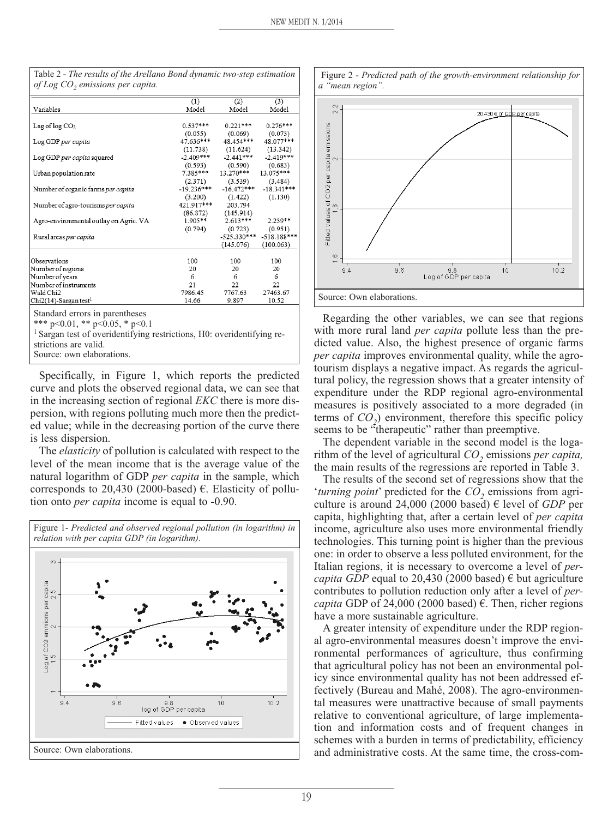|                                        | (1)         | (2)                       | (3)           |
|----------------------------------------|-------------|---------------------------|---------------|
| Variables                              | Model       | Model                     | Model         |
|                                        |             |                           |               |
| Lag of $log CO2$                       | $0.537***$  | $0.221***$                | $0.276***$    |
|                                        | (0.055)     | (0.069)                   | (0.073)       |
| Log GDP per capita                     | 47.636***   | 48.454***                 | 48.077***     |
|                                        | (11.738)    | (11.624)                  | (13.342)      |
| Log GDP per capita squared             | $-2.409***$ | $-2.441***$               | $-2.419***$   |
|                                        | (0.593)     | (0.590)                   | (0.683)       |
| Urban population rate                  | 7.385***    | 13.270***                 | 13.075***     |
|                                        | (2.371)     | (3.539)                   | (3.484)       |
| Number of organic farms per capita     |             | $-19.236***$ $-16.472***$ | $-18.341***$  |
|                                        | (3.200)     | (1.422)                   | (1.130)       |
| Number of agro-tourisms per capita     | 421.917***  | 203.794                   |               |
|                                        | (86.872)    | (145.914)                 |               |
| Agro-environmental outlay on Agric. VA | $1.905**$   | $2.613***$                | $2.239**$     |
|                                        | (0.794)     | (0.723)                   | (0.951)       |
| Rural areas per capita                 |             | $-525.330***$             | $-518.188***$ |
|                                        |             | (145.076)                 | (100.063)     |
|                                        |             |                           |               |
| Observations                           | 100         | 100                       | 100           |
| Number of regions                      | 20          | 20                        | 20            |
| Number of years                        | 6           | 6                         | 6             |
| Number of instruments                  | 21          | 22                        | 22            |
| Wald Chi2                              | 7986.45     | 7767.63                   | 27463.67      |
| Chi2(14)-Sargan test <sup>1</sup>      | 14.66       | 9.897                     | 10.52         |
|                                        |             |                           |               |
| Standard errors in parentheses         |             |                           |               |
| *** $p<0.01$ , ** $p<0.05$ , * $p<0.1$ |             |                           |               |
| $1 -$                                  | $  -$       | $\cdots$                  |               |

<sup>1</sup> Sargan test of overidentifying restrictions, H0: overidentifying re-

Specifically, in Figure 1, which reports the predicted curve and plots the observed regional data, we can see that in the increasing section of regional *EKC* there is more dispersion, with regions polluting much more then the predicted value; while in the decreasing portion of the curve there is less dispersion.

The *elasticity* of pollution is calculated with respect to the level of the mean income that is the average value of the natural logarithm of GDP *per capita* in the sample, which corresponds to 20,430 (2000-based)  $\epsilon$ . Elasticity of pollution onto *per capita* income is equal to -0.90.





Regarding the other variables, we can see that regions with more rural land *per capita* pollute less than the predicted value. Also, the highest presence of organic farms *per capita* improves environmental quality, while the agrotourism displays a negative impact. As regards the agricultural policy, the regression shows that a greater intensity of expenditure under the RDP regional agro-environmental measures is positively associated to a more degraded (in terms of  $CO<sub>2</sub>$ ) environment, therefore this specific policy seems to be "therapeutic" rather than preemptive.

The dependent variable in the second model is the logarithm of the level of agricultural *CO*<sub>2</sub> emissions *per capita*, the main results of the regressions are reported in Table 3.

The results of the second set of regressions show that the '*turning point*' predicted for the *CO*<sub>2</sub> emissions from agriculture is around 24,000 (2000 based)  $\epsilon$  level of *GDP* per capita, highlighting that, after a certain level of *per capita* income, agriculture also uses more environmental friendly technologies. This turning point is higher than the previous one: in order to observe a less polluted environment, for the Italian regions, it is necessary to overcome a level of *percapita GDP* equal to 20,430 (2000 based)  $\epsilon$  but agriculture contributes to pollution reduction only after a level of *percapita* GDP of 24,000 (2000 based)  $\epsilon$ . Then, richer regions have a more sustainable agriculture.

A greater intensity of expenditure under the RDP regional agro-environmental measures doesn't improve the environmental performances of agriculture, thus confirming that agricultural policy has not been an environmental policy since environmental quality has not been addressed effectively (Bureau and Mahé, 2008). The agro-environmental measures were unattractive because of small payments relative to conventional agriculture, of large implementation and information costs and of frequent changes in schemes with a burden in terms of predictability, efficiency and administrative costs. At the same time, the cross-com-

Table 2 - *The results of the Arellano Bond dynamic two-step estimation of Log CO2 emissions per capita.*

strictions are valid. Source: own elaborations.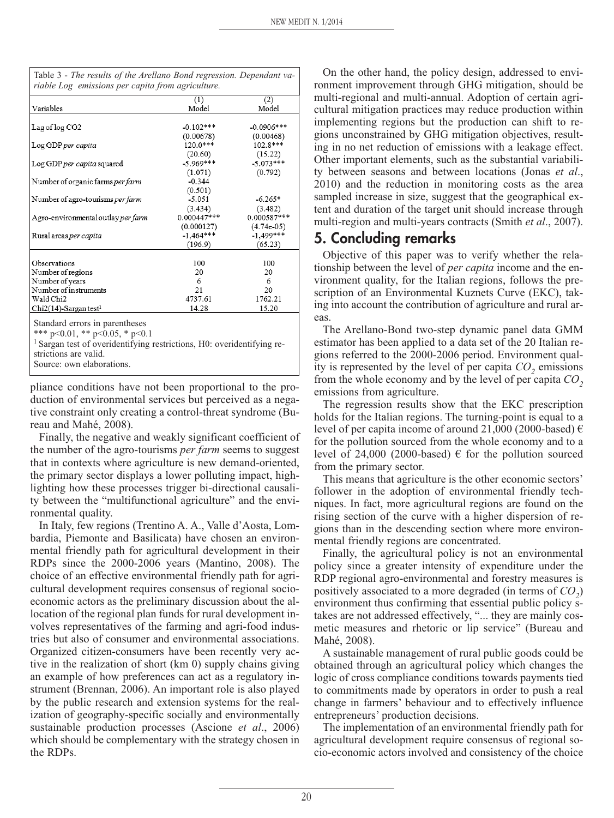|                                      | (1)           | (2)          |  |
|--------------------------------------|---------------|--------------|--|
| Variables                            | Model         | Model        |  |
|                                      |               |              |  |
| Lag of log CO <sub>2</sub>           | $-0.102***$   | $-0.0906***$ |  |
|                                      | (0.00678)     | (0.00468)    |  |
| Log GDP per capita                   | $120.0***$    | 102.8***     |  |
|                                      | (20.60)       | (15.22)      |  |
| Log GDP per capita squared           | $-5.969***$   | $-5.073***$  |  |
|                                      | (1.071)       | (0.792)      |  |
| Number of organic farms per farm     | $-0.344$      |              |  |
|                                      | (0.501)       |              |  |
| Number of agro-tourisms per farm     | $-5.051$      | $-6.265*$    |  |
|                                      | (3.434)       | (3.482)      |  |
| Agro-environmental outlay per farm   | $0.000447***$ | 0.000587***  |  |
|                                      | (0.000127)    | $(4.74e-05)$ |  |
| Rural areas per capita               | $-1.464***$   | $-1.499***$  |  |
|                                      | (196.9)       | (65.23)      |  |
| Observations                         | 100           | 100          |  |
|                                      | 20            | 20           |  |
| Number of regions                    | 6             | 6            |  |
| Number of years                      |               |              |  |
| Number of instruments                | 21            | 20           |  |
| Wald Chi2                            | 4737.61       | 1762.21      |  |
| $Chi2(14)$ -Sargan test <sup>1</sup> | 14.28         | 15.20        |  |

Table 3 - *The results of the Arellano Bond regression. Dependant va-*

Standard errors in parentheses

\*\*\* p<0.01, \*\* p<0.05, \* p<0.1

<sup>1</sup> Sargan test of overidentifying restrictions, H0: overidentifying restrictions are valid.

Source: own elaborations.

pliance conditions have not been proportional to the production of environmental services but perceived as a negative constraint only creating a control-threat syndrome (Bureau and Mahé, 2008).

Finally, the negative and weakly significant coefficient of the number of the agro-tourisms *per farm* seems to suggest that in contexts where agriculture is new demand-oriented, the primary sector displays a lower polluting impact, highlighting how these processes trigger bi-directional causality between the "multifunctional agriculture" and the environmental quality.

In Italy, few regions (Trentino A. A., Valle d'Aosta, Lombardia, Piemonte and Basilicata) have chosen an environmental friendly path for agricultural development in their RDPs since the 2000-2006 years (Mantino, 2008). The choice of an effective environmental friendly path for agricultural development requires consensus of regional socioeconomic actors as the preliminary discussion about the allocation of the regional plan funds for rural development involves representatives of the farming and agri-food industries but also of consumer and environmental associations. Organized citizen-consumers have been recently very active in the realization of short (km 0) supply chains giving an example of how preferences can act as a regulatory instrument (Brennan, 2006). An important role is also played by the public research and extension systems for the realization of geography-specific socially and environmentally sustainable production processes (Ascione *et al*., 2006) which should be complementary with the strategy chosen in the RDPs.

On the other hand, the policy design, addressed to environment improvement through GHG mitigation, should be multi-regional and multi-annual. Adoption of certain agricultural mitigation practices may reduce production within implementing regions but the production can shift to regions unconstrained by GHG mitigation objectives, resulting in no net reduction of emissions with a leakage effect. Other important elements, such as the substantial variability between seasons and between locations (Jonas *et al*., 2010) and the reduction in monitoring costs as the area sampled increase in size, suggest that the geographical extent and duration of the target unit should increase through multi-region and multi-years contracts (Smith *et al*., 2007).

## **5. Concluding remarks**

Objective of this paper was to verify whether the relationship between the level of *per capita* income and the environment quality, for the Italian regions, follows the prescription of an Environmental Kuznets Curve (EKC), taking into account the contribution of agriculture and rural areas.

The Arellano-Bond two-step dynamic panel data GMM estimator has been applied to a data set of the 20 Italian regions referred to the 2000-2006 period. Environment quality is represented by the level of per capita  $CO<sub>2</sub>$  emissions from the whole economy and by the level of per capita  $CO<sub>2</sub>$ emissions from agriculture.

The regression results show that the EKC prescription holds for the Italian regions. The turning-point is equal to a level of per capita income of around 21,000 (2000-based)  $\epsilon$ for the pollution sourced from the whole economy and to a level of 24,000 (2000-based)  $\epsilon$  for the pollution sourced from the primary sector.

This means that agriculture is the other economic sectors' follower in the adoption of environmental friendly techniques. In fact, more agricultural regions are found on the rising section of the curve with a higher dispersion of regions than in the descending section where more environmental friendly regions are concentrated.

Finally, the agricultural policy is not an environmental policy since a greater intensity of expenditure under the RDP regional agro-environmental and forestry measures is positively associated to a more degraded (in terms of  $CO<sub>2</sub>$ ) environment thus confirming that essential public policy stakes are not addressed effectively, "... they are mainly cosmetic measures and rhetoric or lip service" (Bureau and Mahé, 2008).

A sustainable management of rural public goods could be obtained through an agricultural policy which changes the logic of cross compliance conditions towards payments tied to commitments made by operators in order to push a real change in farmers' behaviour and to effectively influence entrepreneurs' production decisions.

The implementation of an environmental friendly path for agricultural development require consensus of regional socio-economic actors involved and consistency of the choice